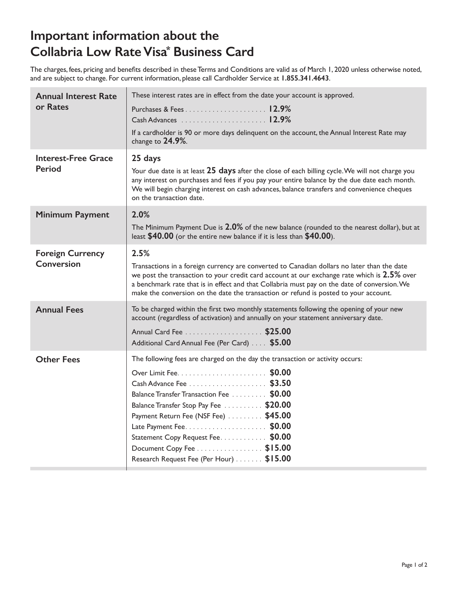#### **Important information about the Collabria Low Rate Visa\* Business Card**

The charges, fees, pricing and benefits described in these Terms and Conditions are valid as of March 1, 2020 unless otherwise noted, and are subject to change. For current information, please call Cardholder Service at **1.855.341.4643**.

| <b>Annual Interest Rate</b><br>or Rates | These interest rates are in effect from the date your account is approved.<br>If a cardholder is 90 or more days delinquent on the account, the Annual Interest Rate may<br>change to $24.9\%$ .                                                                                                                                                                                           |
|-----------------------------------------|--------------------------------------------------------------------------------------------------------------------------------------------------------------------------------------------------------------------------------------------------------------------------------------------------------------------------------------------------------------------------------------------|
| <b>Interest-Free Grace</b><br>Period    | 25 days<br>Your due date is at least 25 days after the close of each billing cycle. We will not charge you<br>any interest on purchases and fees if you pay your entire balance by the due date each month.<br>We will begin charging interest on cash advances, balance transfers and convenience cheques<br>on the transaction date.                                                     |
| <b>Minimum Payment</b>                  | 2.0%<br>The Minimum Payment Due is 2.0% of the new balance (rounded to the nearest dollar), but at<br>least $$40.00$ (or the entire new balance if it is less than $$40.00$ ).                                                                                                                                                                                                             |
| <b>Foreign Currency</b><br>Conversion   | 2.5%<br>Transactions in a foreign currency are converted to Canadian dollars no later than the date<br>we post the transaction to your credit card account at our exchange rate which is 2.5% over<br>a benchmark rate that is in effect and that Collabria must pay on the date of conversion. We<br>make the conversion on the date the transaction or refund is posted to your account. |
| <b>Annual Fees</b>                      | To be charged within the first two monthly statements following the opening of your new<br>account (regardless of activation) and annually on your statement anniversary date.<br>Additional Card Annual Fee (Per Card) \$5.00                                                                                                                                                             |
| <b>Other Fees</b>                       | The following fees are charged on the day the transaction or activity occurs:<br>Balance Transfer Transaction Fee \$0.00<br>Balance Transfer Stop Pay Fee \$20.00<br>Payment Return Fee (NSF Fee) \$45.00<br>Statement Copy Request Fee. \$0.00<br>Document Copy Fee \$15.00<br>Research Request Fee (Per Hour) \$15.00                                                                    |